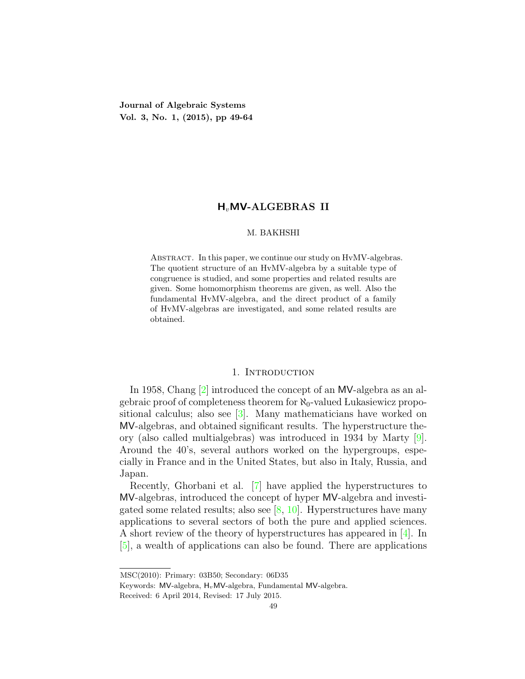**Journal of Algebraic Systems Vol. 3, No. 1, (2015), pp 49-64**

## **H***v***MV-ALGEBRAS II**

## M. BAKHSHI

ABSTRACT. In this paper, we continue our study on HvMV-algebras. The quotient structure of an HvMV-algebra by a suitable type of congruence is studied, and some properties and related results are given. Some homomorphism theorems are given, as well. Also the fundamental HvMV-algebra, and the direct product of a family of HvMV-algebras are investigated, and some related results are obtained.

## 1. INTRODUCTION

In 1958, Chang [[2\]](#page-15-0) introduced the concept of an MV-algebra as an algebraic proof of completeness theorem for *ℵ*0-valued Lukasiewicz propositional calculus; also see [[3\]](#page-15-1). Many mathematicians have worked on MV-algebras, and obtained significant results. The hyperstructure theory (also called multialgebras) was introduced in 1934 by Marty [[9\]](#page-15-2). Around the 40's, several authors worked on the hypergroups, especially in France and in the United States, but also in Italy, Russia, and Japan.

Recently, Ghorbani et al. [[7](#page-15-3)] have applied the hyperstructures to MV-algebras, introduced the concept of hyper MV-algebra and investigated some related results; also see  $[8, 10]$  $[8, 10]$  $[8, 10]$ . Hyperstructures have many applications to several sectors of both the pure and applied sciences. A short review of the theory of hyperstructures has appeared in [[4\]](#page-15-6). In [[5\]](#page-15-7), a wealth of applications can also be found. There are applications

MSC(2010): Primary: 03B50; Secondary: 06D35

Keywords: MV-algebra, H*v*MV-algebra, Fundamental MV-algebra.

Received: 6 April 2014, Revised: 17 July 2015.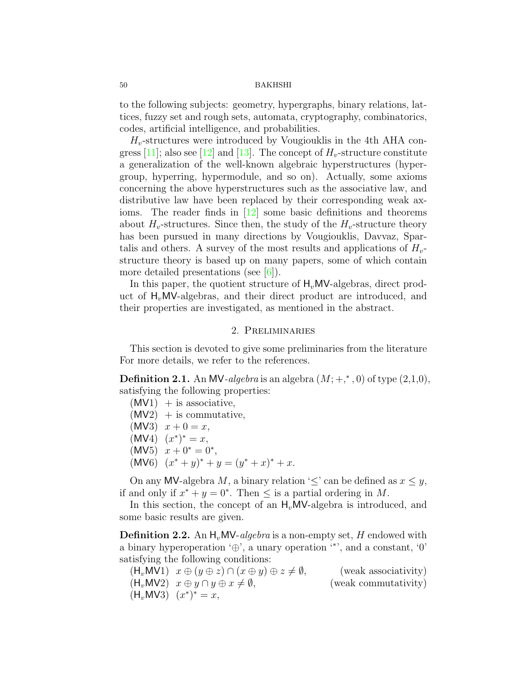to the following subjects: geometry, hypergraphs, binary relations, lattices, fuzzy set and rough sets, automata, cryptography, combinatorics, codes, artificial intelligence, and probabilities.

 $H_v$ -structures were introduced by Vougiouklis in the 4th AHA congress  $[11]$  $[11]$  $[11]$ ; also see  $[12]$  $[12]$  and  $[13]$  $[13]$ . The concept of  $H_v$ -structure constitute a generalization of the well-known algebraic hyperstructures (hypergroup, hyperring, hypermodule, and so on). Actually, some axioms concerning the above hyperstructures such as the associative law, and distributive law have been replaced by their corresponding weak axioms. The reader finds in [\[12\]](#page-15-9) some basic definitions and theorems about  $H_v$ -structures. Since then, the study of the  $H_v$ -structure theory has been pursued in many directions by Vougiouklis, Davvaz, Spartalis and others. A survey of the most results and applications of *Hv*structure theory is based up on many papers, some of which contain more detailed presentations (see  $[6]$  $[6]$ ).

In this paper, the quotient structure of  $H<sub>v</sub>MV$ -algebras, direct product of H*v*MV-algebras, and their direct product are introduced, and their properties are investigated, as mentioned in the abstract.

## 2. Preliminaries

This section is devoted to give some preliminaries from the literature For more details, we refer to the references.

**Definition 2.1.** An MV-algebra is an algebra  $(M; +, ^{*}, 0)$  of type  $(2,1,0)$ , satisfying the following properties:

- $(MV1)$  + is associative,
- $(MV2)$  + is commutative,
- $(MV3)$   $x + 0 = x$ ,
- $(MV4)$   $(x^*)^* = x$ ,
- $(MV5)$   $x + 0^* = 0^*$
- $(MV6)$   $(x^* + y)^* + y = (y^* + x)^* + x$ .

On any MV-algebra *M*, a binary relation ' $\leq$ ' can be defined as  $x \leq y$ , if and only if  $x^* + y = 0^*$ . Then  $\leq$  is a partial ordering in *M*.

In this section, the concept of an  $H<sub>v</sub>$ MV-algebra is introduced, and some basic results are given.

**Definition 2.2.** An  $H<sub>v</sub>MV-algebra$  is a non-empty set, H endowed with a binary hyperoperation '*⊕*', a unary operation '*<sup>∗</sup>* ', and a constant, '0' satisfying the following conditions:

 $(H_v M V1)$   $x \oplus (y \oplus z) \cap (x \oplus y) \oplus z \neq \emptyset$ , (weak associativity)  $(H_v MV2)$   $x \oplus y \cap y \oplus x \neq \emptyset$ , (weak commutativity)  $(H_v M V3)$   $(x^*)^* = x$ ,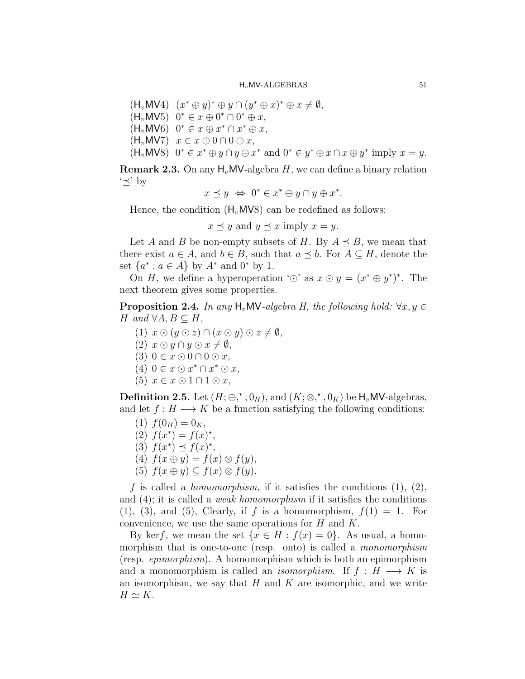$(x^* \oplus y)^* \oplus y \cap (y^* \oplus x)^* \oplus x \neq \emptyset$ ,  $(H_v M V5)$  0<sup>\*</sup> ∈  $x \oplus 0^* \cap 0^* \oplus x$ , (H<sub>*v*</sub>MV6) 0<sup>\*</sup> ∈ *x* ⊕ *x*<sup>\*</sup> ∩ *x*<sup>\*</sup> ⊕ *x*,  $(H_v \text{MV7})$   $x \in x \oplus 0 \cap 0 \oplus x$ ,  $(\mathsf{H}_v \mathsf{MV}8)$   $0^* \in x^* \oplus y \cap y \oplus x^*$  and  $0^* \in y^* \oplus x \cap x \oplus y^*$  imply  $x = y$ .

**Remark 2.3.** On any  $H_vMV$ -algebra *H*, we can define a binary relation '*≼*' by

$$
x \preceq y \iff 0^* \in x^* \oplus y \cap y \oplus x^*.
$$

Hence, the condition  $(H_vMV8)$  can be redefined as follows:

 $x \prec y$  and  $y \prec x$  imply  $x = y$ .

Let *A* and *B* be non-empty subsets of *H*. By  $A \preceq B$ , we mean that there exist  $a \in A$ , and  $b \in B$ , such that  $a \preceq b$ . For  $A \subseteq H$ , denote the set  $\{a^* : a \in A\}$  by  $A^*$  and  $0^*$  by 1.

On *H*, we define a hyperoperation ' $\odot$ ' as  $x \odot y = (x^* \oplus y^*)^*$ . The next theorem gives some properties.

**Proposition 2.4.** *In any*  $H_vMV$ -algebra *H*, the following hold:  $\forall x, y \in$ *H* and  $\forall A, B \subseteq H$ ,

- $(1)$   $x \odot (y \odot z) \cap (x \odot y) \odot z \neq \emptyset$ ,
- $(2)$   $x \odot y \cap y \odot x \neq \emptyset$ ,
- (3) 0 ∈  $x \odot 0 \cap 0 \odot x$ ,
- $(4)$   $0 \in x \odot x^* \cap x^* \odot x$ ,
- $(5)$  *x*  $\in$  *x*  $\odot$  1 ∩ 1  $\odot$  *x,*

**Definition 2.5.** Let  $(H; \oplus, ^{*}, 0_H)$ , and  $(K; \otimes, ^{*}, 0_K)$  be  $H_v$ MV-algebras, and let  $f : H \longrightarrow K$  be a function satisfying the following conditions:

- $f(0_H) = 0_K$
- $f(x^*) = f(x)^*,$
- $(3)$   $f(x^*) \preceq f(x)^*$ ,
- $f(x \oplus y) = f(x) \otimes f(y),$
- $(f(x \oplus y) \subseteq f(x) \otimes f(y)).$

*f* is called a *homomorphism,* if it satisfies the conditions (1), (2), and (4); it is called a *weak homomorphism* if it satisfies the conditions  $(1), (3), \text{ and } (5), \text{ Clearly, if } f \text{ is a homomorphism, } f(1) = 1. \text{ For }$ convenience, we use the same operations for *H* and *K*.

By kerf, we mean the set  $\{x \in H : f(x) = 0\}$ . As usual, a homomorphism that is one-to-one (resp. onto) is called a *monomorphism* (resp. *epimorphism*). A homomorphism which is both an epimorphism and a monomorphism is called an *isomorphism*. If  $f : H \longrightarrow K$  is an isomorphism, we say that *H* and *K* are isomorphic, and we write  $H \simeq K$ .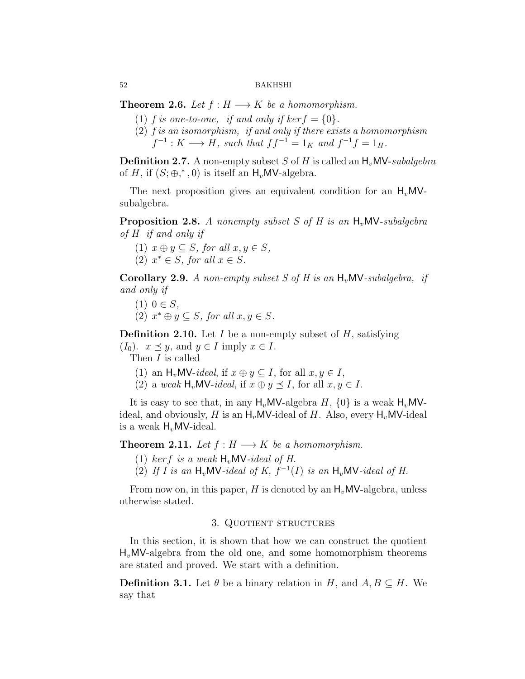<span id="page-3-0"></span>**Theorem 2.6.** *Let*  $f : H \longrightarrow K$  *be a homomorphism.* 

- (1) *f is one-to-one, if and only if*  $ker f = \{0\}$ *.*
- (2) *f is an isomorphism, if and only if there exists a homomorphism*  $f^{-1}: K \longrightarrow H$ *, such that*  $ff^{-1} = 1_K$  *and*  $f^{-1}f = 1_H$ *.*

**Definition 2.7.** A non-empty subset  $S$  of  $H$  is called an  $H_v$ MV-*subalgebra* of *H*, if  $(S; \oplus, ^{*}, 0)$  is itself an  $H_v$ MV-algebra.

The next proposition gives an equivalent condition for an  $H_vMV$ subalgebra.

**Proposition 2.8.** *A nonempty subset S of H is an*  $H_vMV$ -subalgebra *of H if and only if*

 $(1)$   $x \oplus y \subseteq S$ *, for all*  $x, y \in S$ *,*  $(2)$   $x^* \in S$ *, for all*  $x \in S$ *.* 

**Corollary 2.9.** *A non-empty subset S of H is an*  $H_vMV$ -subalgebra, if *and only if*

- $(1)$   $0 \in S$ ,
- $(2)$   $x^* \oplus y \subseteq S$ , for all  $x, y \in S$ .

**Definition 2.10.** Let *I* be a non-empty subset of *H*, satisfying  $(I_0)$ .  $x \leq y$ , and  $y \in I$  imply  $x \in I$ .

Then *I* is called

- (1) an  $H_vMV$ -*ideal*, if  $x \oplus y \subseteq I$ , for all  $x, y \in I$ ,
- (2) a *weak*  $H_v$ MV-*ideal*, if  $x \oplus y \preceq I$ , for all  $x, y \in I$ .

It is easy to see that, in any  $H_n$ MV-algebra  $H$ ,  $\{0\}$  is a weak  $H_n$ MVideal, and obviously, *H* is an  $H_v$ MV-ideal of *H*. Also, every  $H_v$ MV-ideal is a weak  $H_vMV$ -ideal.

**Theorem 2.11.** *Let*  $f : H \longrightarrow K$  *be a homomorphism.* 

- $(1)$  *kerf is a weak*  $H_n$ MV-*ideal of H.*
- (2) If I is an  $H_vMV$ -ideal of K,  $f^{-1}(I)$  is an  $H_vMV$ -ideal of H.

From now on, in this paper,  $H$  is denoted by an  $H_vMV$ -algebra, unless otherwise stated.

# 3. Quotient structures

In this section, it is shown that how we can construct the quotient H*v*MV-algebra from the old one, and some homomorphism theorems are stated and proved. We start with a definition.

**Definition 3.1.** Let  $\theta$  be a binary relation in *H*, and  $A, B \subseteq H$ . We say that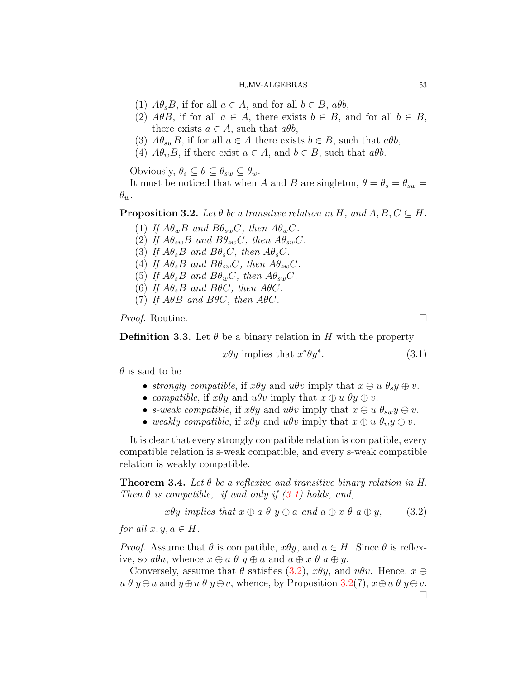- (1)  $A\theta_s B$ , if for all  $a \in A$ , and for all  $b \in B$ ,  $a\theta b$ ,
- (2)  $\widehat{A}\theta B$ , if for all  $a \in A$ , there exists  $b \in B$ , and for all  $b \in B$ , there exists  $a \in A$ , such that  $a\theta b$ ,
- (3)  $A\theta_{sw}B$ , if for all  $a \in A$  there exists  $b \in B$ , such that  $a\theta b$ ,
- (4)  $A\theta_w B$ , if there exist  $a \in A$ , and  $b \in B$ , such that  $a\theta b$ .

Obviously,  $\theta_s \subseteq \theta \subseteq \theta_{sw} \subseteq \theta_w$ .

It must be noticed that when *A* and *B* are singleton,  $\theta = \theta_s = \theta_{sw} =$ *θw*.

<span id="page-4-2"></span>**Proposition 3.2.** *Let*  $\theta$  *be a transitive relation in*  $H$ *, and*  $A, B, C \subseteq H$ *.* 

- (1) If  $A\theta_wB$  and  $B\theta_{sw}C$ , then  $A\theta_wC$ .
- (2) If  $A\theta_{sw}B$  and  $B\theta_{sw}C$ , then  $A\theta_{sw}C$ .
- (3) If  $A\theta_s B$  and  $B\theta_s C$ , then  $A\theta_s C$ .
- (4) If  $A\theta_s B$  and  $B\theta_{sw}C$ , then  $A\theta_{sw}C$ .
- (5) If  $A\theta_s B$  and  $B\theta_w C$ , then  $A\theta_{sw} C$ .
- (6) If  $A\theta_s B$  and  $B\theta C$ , then  $A\theta C$ .
- (7) If  $A\theta B$  and  $B\theta C$ , then  $A\theta C$ *.*

*Proof.* Routine. □

<span id="page-4-4"></span>**Definition 3.3.** Let  $\theta$  be a binary relation in *H* with the property

<span id="page-4-0"></span>*xθy* implies that *x ∗ θy<sup>∗</sup> .* (3.1)

*θ* is said to be

- *strongly compatible*, if  $x\theta y$  and  $u\theta v$  imply that  $x \oplus u \theta_s y \oplus v$ .
- *compatible*, if  $x\theta y$  and  $u\theta v$  imply that  $x \oplus u \theta y \oplus v$ .
- *s-weak compatible*, if  $x\theta y$  and  $u\theta v$  imply that  $x \oplus u$   $\theta_{sw}y \oplus v$ .
- *weakly compatible*, if  $x\theta y$  and  $u\theta v$  imply that  $x \oplus u \theta_w y \oplus v$ .

It is clear that every strongly compatible relation is compatible, every compatible relation is s-weak compatible, and every s-weak compatible relation is weakly compatible.

<span id="page-4-3"></span>**Theorem 3.4.** *Let θ be a reflexive and transitive binary relation in H. Then*  $\theta$  *is compatible, if and only if ([3.1\)](#page-4-0) holds, and,* 

<span id="page-4-1"></span>*xθy implies that*  $x \oplus a \theta y \oplus a$  *and*  $a \oplus x \theta a \oplus y$ , (3.2)

*for all*  $x, y, a \in H$ .

*Proof.* Assume that  $\theta$  is compatible,  $x\theta y$ , and  $a \in H$ . Since  $\theta$  is reflexive, so  $a\theta a$ , whence  $x \oplus a \theta y \oplus a$  and  $a \oplus x \theta a \oplus y$ .

Conversely, assume that  $\theta$  satisfies [\(3.2](#page-4-1)),  $x\theta y$ , and  $u\theta v$ . Hence,  $x \oplus$  $u \theta y \oplus u$  and  $y \oplus u \theta y \oplus v$ , whence, by Proposition [3.2](#page-4-2)(7),  $x \oplus u \theta y \oplus v$ .  $\Box$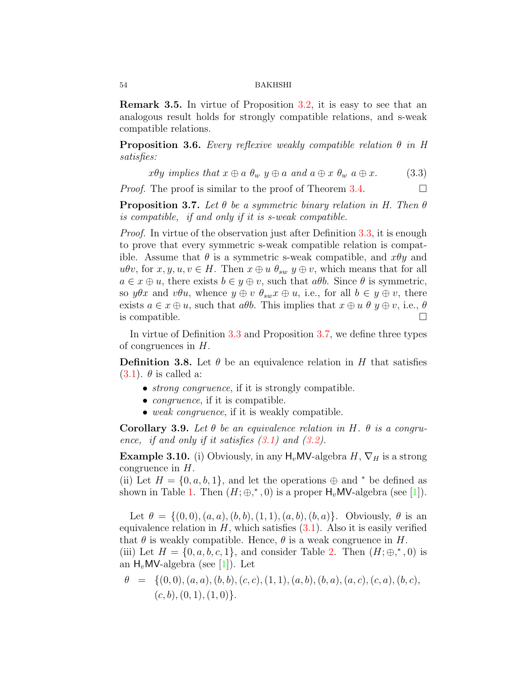<span id="page-5-1"></span>**Remark 3.5.** In virtue of Proposition [3.2,](#page-4-2) it is easy to see that an analogous result holds for strongly compatible relations, and s-weak compatible relations.

**Proposition 3.6.** *Every reflexive weakly compatible relation θ in H satisfies:*

$$
x\theta y \implies that \ x \oplus a \ \theta_w \ y \oplus a \ and \ a \oplus x \ \theta_w \ a \oplus x. \tag{3.3}
$$

*Proof.* The proof is similar to the proof of Theorem [3.4.](#page-4-3)

<span id="page-5-0"></span>**Proposition 3.7.** *Let θ be a symmetric binary relation in H. Then θ is compatible, if and only if it is s-weak compatible.*

*Proof.* In virtue of the observation just after Definition [3.3](#page-4-4), it is enough to prove that every symmetric s-weak compatible relation is compatible. Assume that  $\theta$  is a symmetric s-weak compatible, and  $x\theta y$  and  $u\theta v$ , for  $x, y, u, v \in H$ . Then  $x \oplus u \theta_{sw} y \oplus v$ , which means that for all  $a \in x \oplus u$ , there exists  $b \in y \oplus v$ , such that  $a\theta b$ . Since  $\theta$  is symmetric, so  $y\theta x$  and  $v\theta u$ , whence  $y \oplus v \theta_{sw} x \oplus u$ , i.e., for all  $b \in y \oplus v$ , there exists  $a \in x \oplus u$ , such that  $a\theta b$ . This implies that  $x \oplus u \theta y \oplus v$ , i.e.,  $\theta$ is compatible.  $\Box$ 

In virtue of Definition [3.3](#page-4-4) and Proposition [3.7,](#page-5-0) we define three types of congruences in *H*.

**Definition 3.8.** Let  $\theta$  be an equivalence relation in *H* that satisfies  $(3.1)$  $(3.1)$ .  $\theta$  is called a:

- *strong congruence*, if it is strongly compatible.
- *• congruence*, if it is compatible.
- *• weak congruence*, if it is weakly compatible.

**Corollary 3.9.** Let  $\theta$  be an equivalence relation in H.  $\theta$  is a congru*ence, if and only if it satisfies ([3.1](#page-4-0)) and ([3.2](#page-4-1)).*

**Example 3.10.** (i) Obviously, in any  $H_v$ MV-algebra *H*,  $\nabla_H$  is a strong congruence in *H*.

(ii) Let  $H = \{0, a, b, 1\}$ , and let the operations  $\oplus$  and  $*$  be defined as shown in Table [1](#page-6-0). Then  $(H; \oplus, ^{*}, 0)$  is a proper  $\mathsf{H}_v \mathsf{MV}\text{-algebra}$  (see [\[1](#page-15-12)]).

Let  $\theta = \{(0,0), (a, a), (b, b), (1, 1), (a, b), (b, a)\}\$ . Obviously,  $\theta$  is an equivalence relation in  $H$ , which satisfies  $(3.1)$  $(3.1)$ . Also it is easily verified that  $\theta$  is weakly compatible. Hence,  $\theta$  is a weak congruence in *H*.

(iii) Let  $H = \{0, a, b, c, 1\}$ , and consider Table [2](#page-6-1). Then  $(H; \oplus, ^{*}, 0)$  is an  $H_v$ MV-algebra (see [\[1](#page-15-12)]). Let

$$
\theta = \{(0,0), (a,a), (b,b), (c,c), (1,1), (a,b), (b,a), (a,c), (c,a), (b,c), (c,b), (0,1), (1,0)\}.
$$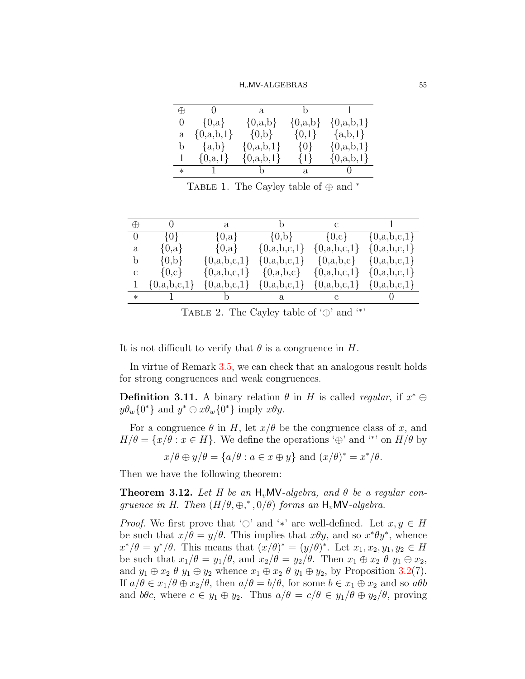H*v*MV-ALGEBRAS 55

| ₩           |             | a             |             |               |
|-------------|-------------|---------------|-------------|---------------|
| $\theta$    | $\{0,a\}$   | $\{0,a,b\}$   | $\{0,a,b\}$ | $\{0,a,b,1\}$ |
| $\mathbf a$ | ${0,a,b,1}$ | $\{0,b\}$     | $\{0,1\}$   | ${a,b,1}$     |
| b           | ${a,b}$     | $\{0,a,b,1\}$ | $\{0\}$     | $\{0,a,b,1\}$ |
| 1           | $\{0,a,1\}$ | ${0,a,b,1}$   | $\{1\}$     | $\{0,a,b,1\}$ |
| $\ast$      |             |               | а           |               |

<span id="page-6-0"></span>Table 1. The Cayley table of *⊕* and *<sup>∗</sup>*

| $\oplus$ | U               | $\mathbf{a}$    | $\mathbf{d}$    | $\rm c$         |                 |
|----------|-----------------|-----------------|-----------------|-----------------|-----------------|
| $\theta$ | $\{0\}$         | $\{0,a\}$       | $\{0,b\}$       | $\{0,c\}$       | $\{0,a,b,c,1\}$ |
| a        | $\{0,a\}$       | $\{0,a\}$       | $\{0,a,b,c,1\}$ | $\{0,a,b,c,1\}$ | ${0,a,b,c,1}$   |
| b        | $\{0,b\}$       | $\{0,a,b,c,1\}$ | $\{0,a,b,c,1\}$ | $\{0,a,b,c\}$   | $\{0,a,b,c,1\}$ |
| С        | $\{0,c\}$       | $\{0,a,b,c,1\}$ | $\{0,a,b,c\}$   | $\{0,a,b,c,1\}$ | $\{0,a,b,c,1\}$ |
|          | $\{0,a,b,c,1\}$ | $\{0,a,b,c,1\}$ | $\{0,a,b,c,1\}$ | $\{0,a,b,c,1\}$ | $\{0,a,b,c,1\}$ |
| $*$      |                 |                 | a               |                 |                 |

<span id="page-6-1"></span>Table 2. The Cayley table of '*⊕*' and '*<sup>∗</sup>* '

It is not difficult to verify that  $\theta$  is a congruence in  $H$ .

In virtue of Remark [3.5](#page-5-1), we can check that an analogous result holds for strong congruences and weak congruences.

**Definition 3.11.** A binary relation  $\theta$  in *H* is called *regular*, if  $x^* \oplus$  $y\theta_w\{0^*\}\$ and  $y^*\oplus x\theta_w\{0^*\}\$ imply  $x\theta y$ .

For a congruence  $\theta$  in *H*, let  $x/\theta$  be the congruence class of *x*, and  $H/\theta = \{x/\theta : x \in H\}$ . We define the operations ' $\oplus$ ' and '<sup>\*</sup>' on  $H/\theta$  by

 $x/\theta \oplus y/\theta = \{a/\theta : a \in x \oplus y\}$  and  $(x/\theta)^* = x^*/\theta$ .

Then we have the following theorem:

<span id="page-6-2"></span>**Theorem 3.12.** Let H be an  $H<sub>v</sub>$ MV-algebra, and  $\theta$  be a regular con*gruence in H. Then*  $(H/\theta, \oplus, ^*, 0/\theta)$  *forms an*  $H_v$ MV-algebra.

*Proof.* We first prove that ' $\oplus$ ' and '\*' are well-defined. Let  $x, y \in H$ be such that  $x/\theta = y/\theta$ . This implies that  $x\theta y$ , and so  $x^*\theta y^*$ , whence  $x^*/\theta = y^*/\theta$ . This means that  $(x/\theta)^* = (y/\theta)^*$ . Let  $x_1, x_2, y_1, y_2 \in H$ be such that  $x_1/\theta = y_1/\theta$ , and  $x_2/\theta = y_2/\theta$ . Then  $x_1 \oplus x_2 \theta y_1 \oplus x_2$ , and  $y_1 \oplus x_2 \theta y_1 \oplus y_2$  whence  $x_1 \oplus x_2 \theta y_1 \oplus y_2$ , by Proposition [3.2\(](#page-4-2)7). If  $a/\theta \in x_1/\theta \oplus x_2/\theta$ , then  $a/\theta = b/\theta$ , for some  $b \in x_1 \oplus x_2$  and so  $a\theta b$ and *bθc*, where  $c \in y_1 \oplus y_2$ . Thus  $a/\theta = c/\theta \in y_1/\theta \oplus y_2/\theta$ , proving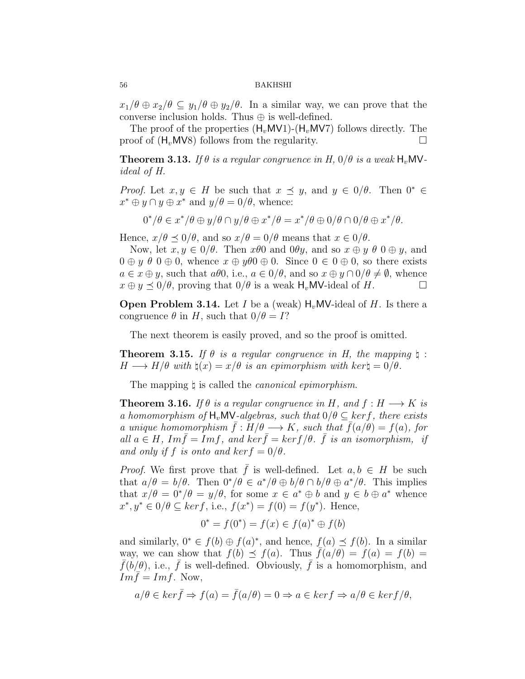$x_1/\theta \oplus x_2/\theta \subseteq y_1/\theta \oplus y_2/\theta$ . In a similar way, we can prove that the converse inclusion holds. Thus *⊕* is well-defined.

The proof of the properties  $(H_v MV1)$ - $(H_vMV7)$  follows directly. The proof of  $(H_vMVS)$  follows from the regularity.

**Theorem 3.13.** If  $\theta$  is a regular congruence in H,  $0/\theta$  is a weak H<sub>v</sub>MV*ideal of H.*

*Proof.* Let  $x, y \in H$  be such that  $x \preceq y$ , and  $y \in 0/\theta$ . Then  $0^* \in$  $x^* \oplus y \cap y \oplus x^*$  and  $y/\theta = 0/\theta$ , whence:

$$
0^*/\theta \in x^*/\theta \oplus y/\theta \cap y/\theta \oplus x^*/\theta = x^*/\theta \oplus 0/\theta \cap 0/\theta \oplus x^*/\theta.
$$

Hence,  $x/\theta \prec 0/\theta$ , and so  $x/\theta = 0/\theta$  means that  $x \in 0/\theta$ .

Now, let  $x, y \in \theta/\theta$ . Then  $x\theta\theta$  and  $\theta\theta y$ , and so  $x \oplus y \theta \theta \oplus y$ , and 0 *⊕ y θ* 0 *⊕* 0, whence *x ⊕ yθ*0 *⊕* 0. Since 0 *∈* 0 *⊕* 0, so there exists  $a \in x \oplus y$ , such that  $a\theta$ , i.e.,  $a \in 0/\theta$ , and so  $x \oplus y \cap 0/\theta \neq \emptyset$ , whence  $x \oplus y \preceq 0/\theta$ , proving that  $0/\theta$  is a weak H<sub>*v*</sub>MV-ideal of *H*.

**Open Problem 3.14.** Let *I* be a (weak)  $H_vMV$ -ideal of *H*. Is there a congruence  $\theta$  in *H*, such that  $0/\theta = I$ ?

The next theorem is easily proved, and so the proof is omitted.

<span id="page-7-1"></span>**Theorem 3.15.** *If*  $\theta$  *is a regular congruence in H, the mapping*  $\phi$ :  $H \longrightarrow H/\theta$  *with*  $\natural(x) = x/\theta$  *is an epimorphism with*  $\text{ker} \natural = 0/\theta$ *.* 

The mapping *♮* is called the *canonical epimorphism*.

<span id="page-7-0"></span>**Theorem 3.16.** *If*  $\theta$  *is a regular congruence in H, and*  $f : H \longrightarrow K$  *is a homomorphism of*  $H<sub>v</sub>MV<sub>l</sub>$ *MV*-algebras, such that  $0/\theta \subset \text{ker } f$ , there exists *a* unique homomorphism  $f : H/\theta \longrightarrow K$ , such that  $f(a/\theta) = f(a)$ , for  $all \ a \in H$ ,  $Im\bar{f} = Imf$ , and  $ker\bar{f} = kerf/\theta$ .  $\bar{f}$  *is an isomorphism, if and only if f is onto and*  $\ker f = 0/\theta$ *.* 

*Proof.* We first prove that  $\bar{f}$  is well-defined. Let  $a, b \in H$  be such that  $a/\theta = b/\theta$ . Then  $0^*/\theta \in a^*/\theta \oplus b/\theta \cap b/\theta \oplus a^*/\theta$ . This implies that  $x/\theta = 0^*/\theta = y/\theta$ , for some  $x \in a^* \oplus b$  and  $y \in b \oplus a^*$  whence  $x^*$ ,  $y^* \in 0/\theta \subseteq \text{ker } f$ , i.e.,  $f(x^*) = f(0) = f(y^*)$ . Hence,

$$
0^* = f(0^*) = f(x) \in f(a)^* \oplus f(b)
$$

and similarly,  $0^* \in f(b) \oplus f(a)^*$ , and hence,  $f(a) \preceq f(b)$ . In a similar way, we can show that  $f(b) \prec f(a)$ . Thus  $f(a/\theta) = f(a) = f(b)$  $\bar{f}(b/\theta)$ , i.e.,  $\bar{f}$  is well-defined. Obviously,  $\bar{f}$  is a homomorphism, and  $Im f = Im f$ . Now,

$$
a/\theta \in ker \bar{f} \Rightarrow f(a) = \bar{f}(a/\theta) = 0 \Rightarrow a \in ker f \Rightarrow a/\theta \in ker f/\theta,
$$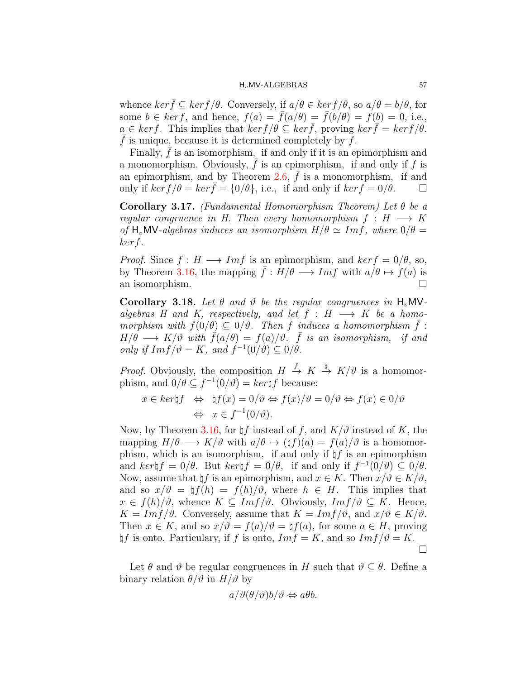whence  $\ker \bar{f} \subseteq \ker f/\theta$ . Conversely, if  $a/\theta \in \ker f/\theta$ , so  $a/\theta = b/\theta$ , for some  $b \in \text{ker } f$ , and hence,  $f(a) = f(a/\theta) = f(b/\theta) = f(b) = 0$ , i.e.,  $a \in \text{ker } f$ . This implies that  $\text{ker } f/\theta \subseteq \text{ker } \overline{f}$ , proving  $\text{ker } \overline{f} = \text{ker } f/\theta$ .  $f$  is unique, because it is determined completely by  $f$ .

Finally,  $\bar{f}$  is an isomorphism, if and only if it is an epimorphism and a monomorphism. Obviously,  $\bar{f}$  is an epimorphism, if and only if  $f$  is an epimorphism, and by Theorem [2.6,](#page-3-0)  $\bar{f}$  is a monomorphism, if and only if  $ker f/\theta = ker \overline{f} = \{0/\theta\}$ , i.e., if and only if  $ker f = 0/\theta$ .

<span id="page-8-0"></span>**Corollary 3.17.** *(Fundamental Homomorphism Theorem) Let θ be a regular congruence in H. Then every homomorphism*  $f : H \longrightarrow K$ *of*  $H_v$ MV-algebras induces an isomorphism  $H/\theta \simeq Im f$ , where  $0/\theta =$ *kerf.*

*Proof.* Since  $f: H \longrightarrow Im f$  is an epimorphism, and  $ker f = 0/\theta$ , so, by Theorem [3.16,](#page-7-0) the mapping  $\bar{f}: H/\theta \longrightarrow Im f$  with  $a/\theta \mapsto f(a)$  is an isomorphism.

**Corollary 3.18.** Let  $\theta$  and  $\vartheta$  be the regular congruences in  $H<sub>v</sub>MV$ *algebras H and K, respectively, and let*  $f : H \longrightarrow K$  *be a homomorphism with*  $f(0/\theta) \subseteq 0/\vartheta$ . Then *f induces a homomorphism*  $f$  :  $H/\theta \longrightarrow K/\vartheta$  *with*  $\overline{f}(a/\theta) = f(a)/\vartheta$ .  $\overline{f}$  *is an isomorphism, if and only if*  $Im f/\vartheta = K$ *, and*  $f^{-1}(0/\vartheta) \subseteq 0/\theta$ *.* 

*Proof.* Obviously, the composition  $H \xrightarrow{f} K \xrightarrow{\natural} K/\vartheta$  is a homomorphism, and  $0/\theta \subseteq f^{-1}(0/\theta) = ker \sharp f$  because:

$$
x \in ker \sharp f \iff \sharp f(x) = 0/\vartheta \Leftrightarrow f(x)/\vartheta = 0/\vartheta \Leftrightarrow f(x) \in 0/\vartheta
$$
  

$$
\Leftrightarrow x \in f^{-1}(0/\vartheta).
$$

Now, by Theorem [3.16](#page-7-0), for  $\natural f$  instead of *f*, and  $K/\vartheta$  instead of *K*, the mapping  $H/\theta \longrightarrow K/\vartheta$  with  $a/\theta \mapsto (\natural f)(a) = f(a)/\vartheta$  is a homomorphism, which is an isomorphism, if and only if *♮f* is an epimorphism and  $ker \natural f = 0/\theta$ . But  $ker \natural f = 0/\theta$ , if and only if  $f^{-1}(0/\theta) \subseteq 0/\theta$ . Now, assume that  $\natural f$  is an epimorphism, and  $x \in K$ . Then  $x/\vartheta \in K/\vartheta$ , and so  $x/\vartheta = \frac{f(h)}{\vartheta}$ , where  $h \in H$ . This implies that  $x \in f(h)/\vartheta$ , whence  $K \subseteq Imf/\vartheta$ . Obviously,  $Imf/\vartheta \subseteq K$ . Hence,  $K = Im f/\vartheta$ . Conversely, assume that  $K = Im f/\vartheta$ , and  $x/\vartheta \in K/\vartheta$ . Then  $x \in K$ , and so  $x/\vartheta = f(a)/\vartheta = \frac{1}{4}f(a)$ , for some  $a \in H$ , proving  $\sharp f$  **is onto. Particulary, if** *f* **is onto,** *Imf* **=** *K***, and so** *Imf* **/** $\vartheta$  **=** *K***.** П

Let  $\theta$  and  $\vartheta$  be regular congruences in *H* such that  $\vartheta \subset \theta$ . Define a binary relation  $\theta/\vartheta$  in  $H/\vartheta$  by

$$
a/\vartheta(\theta/\vartheta)b/\vartheta \Leftrightarrow a\theta b.
$$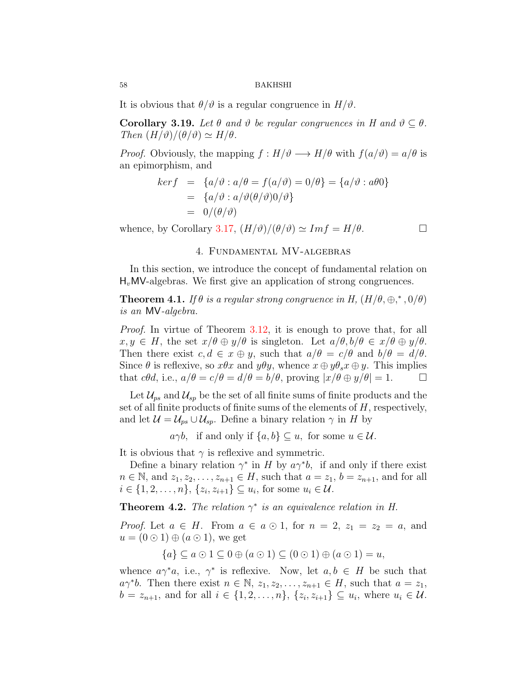It is obvious that  $\theta/\vartheta$  is a regular congruence in  $H/\vartheta$ .

**Corollary 3.19.** *Let*  $\theta$  *and*  $\vartheta$  *be regular congruences in H and*  $\vartheta \subseteq \theta$ *.*  $Then \left(H/\vartheta\right)/(\theta/\vartheta) \simeq H/\theta.$ 

*Proof.* Obviously, the mapping  $f : H/\vartheta \longrightarrow H/\theta$  with  $f(a/\vartheta) = a/\theta$  is an epimorphism, and

$$
ker f = {a/\vartheta : a/\theta = f(a/\vartheta) = 0/\theta} = {a/\vartheta : a\theta 0}
$$
  
= {a/\vartheta : a/\vartheta(\theta/\vartheta) 0/\vartheta}  
= 0/(\theta/\vartheta)

whence, by Corollary [3.17](#page-8-0),  $(H/\vartheta)/(\theta/\vartheta) \simeq Im f = H/\theta$ .

# 4. Fundamental MV-algebras

In this section, we introduce the concept of fundamental relation on H*v*MV-algebras. We first give an application of strong congruences.

**Theorem 4.1.** *If*  $\theta$  *is a regular strong congruence in H,*  $(H/\theta, \oplus, ^*, 0/\theta)$ *is an* MV*-algebra.*

*Proof.* In virtue of Theorem [3.12](#page-6-2), it is enough to prove that, for all  $x, y \in H$ , the set  $x/\theta \oplus y/\theta$  is singleton. Let  $a/\theta, b/\theta \in x/\theta \oplus y/\theta$ . Then there exist  $c, d \in x \oplus y$ , such that  $a/\theta = c/\theta$  and  $b/\theta = d/\theta$ . Since  $\theta$  is reflexive, so  $x\theta x$  and  $y\theta y$ , whence  $x \oplus y\theta_s x \oplus y$ . This implies that  $c\theta d$ , i.e.,  $a/\theta = c/\theta = d/\theta = b/\theta$ , proving  $|x/\theta \oplus y/\theta| = 1$ .

Let  $\mathcal{U}_{ps}$  and  $\mathcal{U}_{sp}$  be the set of all finite sums of finite products and the set of all finite products of finite sums of the elements of *H*, respectively, and let  $\mathcal{U} = \mathcal{U}_{ps} \cup \mathcal{U}_{sp}$ . Define a binary relation  $\gamma$  in *H* by

 $a\gamma b$ , if and only if  $\{a, b\} \subset u$ , for some  $u \in \mathcal{U}$ .

It is obvious that  $\gamma$  is reflexive and symmetric.

Define a binary relation  $\gamma^*$  in *H* by  $a\gamma^*b$ , if and only if there exist *n* ∈ N, and  $z_1, z_2, \ldots, z_{n+1}$  ∈ *H*, such that  $a = z_1$ ,  $b = z_{n+1}$ , and for all  $i \in \{1, 2, \ldots, n\}, \{z_i, z_{i+1}\} \subseteq u_i$ , for some  $u_i \in \mathcal{U}$ .

**Theorem 4.2.** *The relation*  $\gamma^*$  *is an equivalence relation in H.* 

*Proof.* Let  $a \in H$ . From  $a \in a \odot 1$ , for  $n = 2$ ,  $z_1 = z_2 = a$ , and  $u = (0 \odot 1) \oplus (a \odot 1)$ , we get

$$
\{a\} \subseteq a \odot 1 \subseteq 0 \oplus (a \odot 1) \subseteq (0 \odot 1) \oplus (a \odot 1) = u,
$$

whence  $a\gamma^*a$ , i.e.,  $\gamma^*$  is reflexive. Now, let  $a, b \in H$  be such that  $a\gamma^*b$ . Then there exist  $n \in \mathbb{N}$ ,  $z_1, z_2, \ldots, z_{n+1} \in H$ , such that  $a = z_1$ ,  $b = z_{n+1}$ , and for all  $i \in \{1, 2, ..., n\}$ ,  $\{z_i, z_{i+1}\} \subseteq u_i$ , where  $u_i \in \mathcal{U}$ .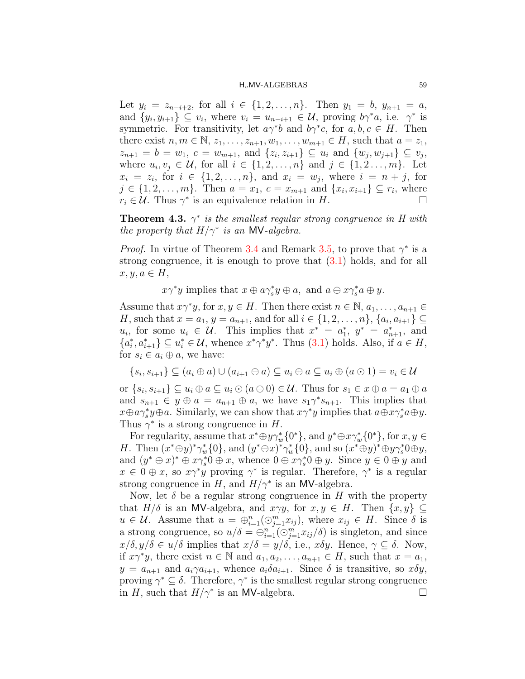Let  $y_i = z_{n-i+2}$ , for all  $i \in \{1, 2, ..., n\}$ . Then  $y_1 = b, y_{n+1} = a$ , and  $\{y_i, y_{i+1}\} \subseteq v_i$ , where  $v_i = u_{n-i+1} \in \mathcal{U}$ , proving  $b\gamma^*a$ , i.e.  $\gamma^*$  is symmetric. For transitivity, let  $a\gamma^*b$  and  $b\gamma^*c$ , for  $a, b, c \in H$ . Then there exist  $n, m \in \mathbb{N}, z_1, \ldots, z_{n+1}, w_1, \ldots, w_{m+1} \in H$ , such that  $a = z_1$ ,  $z_{n+1} = b = w_1, c = w_{m+1}, \text{ and } \{z_i, z_{i+1}\} \subseteq u_i \text{ and } \{w_j, w_{j+1}\} \subseteq v_j,$ where  $u_i, v_j \in \mathcal{U}$ , for all  $i \in \{1, 2, ..., n\}$  and  $j \in \{1, 2, ..., m\}$ . Let  $x_i = z_i$ , for  $i \in \{1, 2, ..., n\}$ , and  $x_i = w_j$ , where  $i = n + j$ , for *j* ∈ {1, 2, . . . , *m*}. Then *a* = *x*<sub>1</sub>, *c* = *x*<sub>*m*+1</sub> and {*x*<sub>*i*</sub>, *x*<sub>*i*+1</sub>} ⊆ *r*<sub>*i*</sub>, where  $r_i \in \mathcal{U}$ . Thus  $\gamma^*$  is an equivalence relation in *H*.

**Theorem 4.3.**  $\gamma^*$  is the smallest regular strong congruence in H with *the property that*  $H/\gamma^*$  *is an* MV-*algebra.* 

*Proof.* In virtue of Theorem [3.4](#page-4-3) and Remark [3.5](#page-5-1), to prove that  $\gamma^*$  is a strong congruence, it is enough to prove that  $(3.1)$  $(3.1)$  holds, and for all  $x, y, a \in H$ ,

*x*<sup>*γ*</sup></sup> $y$  implies that  $x \oplus a\gamma_s^* y \oplus a$ , and  $a \oplus x\gamma_s^* a \oplus y$ .

Assume that  $x\gamma^*y$ , for  $x, y \in H$ . Then there exist  $n \in \mathbb{N}, a_1, \ldots, a_{n+1} \in$ *H*, such that  $x = a_1, y = a_{n+1}$ , and for all  $i \in \{1, 2, ..., n\}$ ,  $\{a_i, a_{i+1}\} \subseteq$  $u_i$ , for some  $u_i \in \mathcal{U}$ . This implies that  $x^* = a_1^*$ ,  $y^* = a_{n+1}^*$ , and  ${a_i^*, a_{i+1}^*} \subseteq u_i^* \in \mathcal{U}$ , whence  $x^* \gamma^* y^*$ . Thus ([3.1\)](#page-4-0) holds. Also, if  $a \in H$ , for  $s_i \in a_i \oplus a$ , we have:

$$
\{s_i, s_{i+1}\} \subseteq (a_i \oplus a) \cup (a_{i+1} \oplus a) \subseteq u_i \oplus a \subseteq u_i \oplus (a \odot 1) = v_i \in \mathcal{U}
$$

or  $\{s_i, s_{i+1}\}\subseteq u_i\oplus a\subseteq u_i\odot(a\oplus 0)\in\mathcal{U}$ . Thus for  $s_1\in x\oplus a=a_1\oplus a$ and  $s_{n+1} \in y \oplus a = a_{n+1} \oplus a$ , we have  $s_1 \gamma^* s_{n+1}$ . This implies that  $x \oplus a\gamma_s^* y \oplus a$ . Similarly, we can show that  $x \gamma^* y$  implies that  $a \oplus x \gamma_s^* a \oplus y$ . Thus  $\gamma^*$  is a strong congruence in *H*.

For regularity, assume that  $x^* \oplus y\gamma_w^* \{0^*\}$ , and  $y^* \oplus x\gamma_w^* \{0^*\}$ , for  $x, y \in$ H. Then  $(x^*\oplus y)^*\gamma_w^*\{0\}$ , and  $(y^*\oplus x)^*\gamma_w^*\{0\}$ , and so  $(x^*\oplus y)^*\oplus y\gamma_s^*\oplus y$ , and  $(y^* \oplus x)^* \oplus x\gamma_s^*0 \oplus x$ , whence  $0 \oplus x\gamma_s^*0 \oplus y$ . Since  $y \in 0 \oplus y$  and  $x \in 0 \oplus x$ , so  $x \gamma^* y$  proving  $\gamma^*$  is regular. Therefore,  $\gamma^*$  is a regular strong congruence in  $H$ , and  $H/\gamma^*$  is an MV-algebra.

Now, let  $\delta$  be a regular strong congruence in *H* with the property that  $H/\delta$  is an MV-algebra, and  $x \gamma y$ , for  $x, y \in H$ . Then  $\{x, y\} \subseteq$  $u \in \mathcal{U}$ . Assume that  $u = \bigoplus_{i=1}^{n} (\bigcirc_{j=1}^{m} x_{ij}),$  where  $x_{ij} \in H$ . Since  $\delta$  is a strong congruence, so  $u/\delta = \bigoplus_{i=1}^{n} (\bigodot_{j=1}^{m} x_{ij}/\delta)$  is singleton, and since  $x/\delta, y/\delta \in u/\delta$  implies that  $x/\delta = y/\delta$ , i.e.,  $x\delta y$ . Hence,  $\gamma \subseteq \delta$ . Now, if  $x\gamma^*y$ , there exist  $n \in \mathbb{N}$  and  $a_1, a_2, \ldots, a_{n+1} \in H$ , such that  $x = a_1$ ,  $y = a_{n+1}$  and  $a_i \gamma a_{i+1}$ , whence  $a_i \delta a_{i+1}$ . Since  $\delta$  is transitive, so  $x \delta y$ , proving  $\gamma^* \subseteq \delta$ . Therefore,  $\gamma^*$  is the smallest regular strong congruence in *H*, such that  $H/\gamma^*$  is an MV-algebra.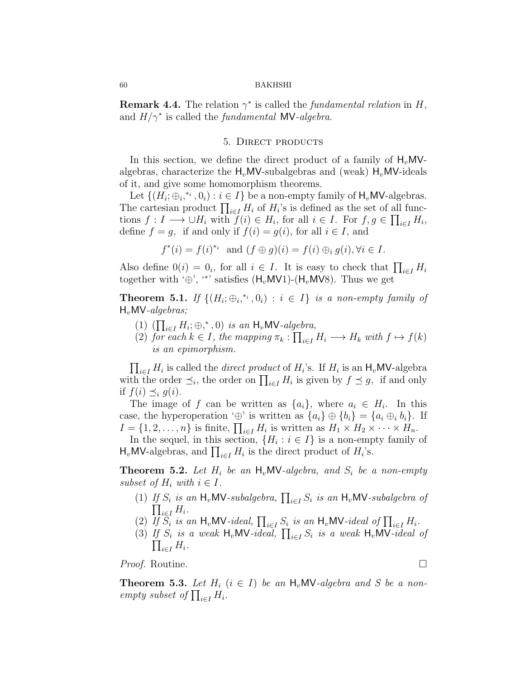**Remark 4.4.** The relation  $\gamma^*$  is called the *fundamental relation* in  $H$ , and *H/γ<sup>∗</sup>* is called the *fundamental* MV*-algebra*.

## 5. Direct products

In this section, we define the direct product of a family of  $H_vMV$ algebras, characterize the  $H_vMV$ -subalgebras and (weak)  $H_vMV$ -ideals of it, and give some homomorphism theorems.

Let  $\{(H_i; \oplus_i, \ast_i, 0_i) : i \in I\}$  be a non-empty family of  $H_vMV$ -algebras. The cartesian product  $\prod_{i \in I} H_i$  of  $H_i$ 's is defined as the set of all functions  $f: I \longrightarrow \bigcup H_i$  with  $f(i) \in H_i$ , for all  $i \in I$ . For  $f, g \in \prod_{i \in I} H_i$ , define  $f = g$ , if and only if  $f(i) = g(i)$ , for all  $i \in I$ , and

$$
f^*(i) = f(i)^{*_i} \text{ and } (f \oplus g)(i) = f(i) \oplus_i g(i), \forall i \in I.
$$

Also define  $0(i) = 0_i$ , for all  $i \in I$ . It is easy to check that  $\prod_{i \in I} H_i$ together with '*⊕*', '*<sup>∗</sup>* ' satisfies (H*v*MV1)-(H*v*MV8). Thus we get

**Theorem 5.1.** If  $\{(H_i; \oplus_i, \stackrel{*}{\cdot} \cdot, 0_i) : i \in I\}$  is a non-empty family of H*v*MV*-algebras;*

- $(1)$  ( $\prod_{i \in I} H_i$ ; ⊕,<sup>∗</sup>, 0) *is an* H<sub>*v*</sub>MV-*algebra,*
- (2) *for each*  $k \in I$ *, the mapping*  $\pi_k : \prod_{i \in I} H_i \longrightarrow H_k$  *with*  $f \mapsto f(k)$ *is an epimorphism.*

 $\prod_{i \in I} H_i$  is called the *direct product* of  $H_i$ 's. If  $H_i$  is an  $H_v$ MV-algebra with the order  $\preceq_i$ , the order on  $\prod_{i\in I} H_i$  is given by  $f \preceq g$ , if and only if  $f(i) \preceq_i g(i)$ .

The image of *f* can be written as  $\{a_i\}$ , where  $a_i \in H_i$ . In this case, the hyperoperation ' $\oplus$ ' is written as  $\{a_i\} \oplus \{b_i\} = \{a_i \oplus_i b_i\}$ . If  $I = \{1, 2, \ldots, n\}$  is finite,  $\prod_{i \in I} H_i$  is written as  $H_1 \times H_2 \times \cdots \times H_n$ .

In the sequel, in this section,  ${H_i : i \in I}$  is a non-empty family of  $H_v$ MV-algebras, and  $\prod_{i \in I} H_i$  is the direct product of  $H_i$ 's.

**Theorem 5.2.** Let  $H_i$  be an  $H_i$ MV-algebra, and  $S_i$  be a non-empty *subset of*  $H_i$  *with*  $i \in I$ *.* 

- (1) *If*  $S_i$  is an H<sub>v</sub>MV-subalgebra,  $\prod_{i \in I} S_i$  is an H<sub>v</sub>MV-subalgebra of  $\prod_{i \in I} H_i$ *.*
- (2)  $\overline{If} \ \overline{S}_i$  is an H<sub>v</sub>MV-ideal,  $\prod_{i \in I} S_i$  is an H<sub>v</sub>MV-ideal of  $\prod_{i \in I} H_i$ .
- (3) *If*  $S_i$  *is a weak*  $H_v$ MV-*ideal*,  $\prod_{i \in I} S_i$  *is a weak*  $H_v$ MV-*ideal of*  $\prod_{i \in I} H_i$ *.*

*Proof.* Routine. □

**Theorem 5.3.** Let  $H_i$  ( $i \in I$ ) be an  $H_v$ MV-algebra and S be a non*empty subset of*  $\prod_{i \in I} H_i$ *.*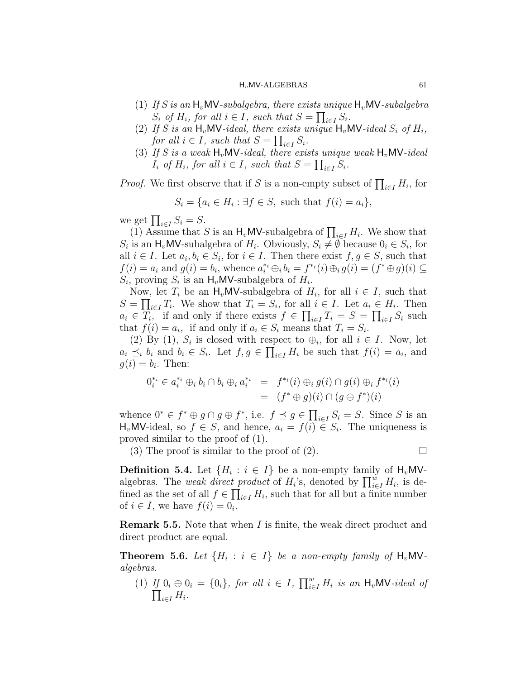- $(1)$  *If S is an*  $H_v$ MV-subalgebra, there exists unique  $H_v$ MV-subalgebra  $S_i$  *of*  $H_i$ *, for all*  $i \in I$ *, such that*  $S = \prod_{i \in I} S_i$ *.*
- (2) If S is an  $H_vMV$ -ideal, there exists unique  $H_vMV$ -ideal  $S_i$  of  $H_i$ , *for all*  $i \in I$ *, such that*  $S = \prod_{i \in I} S_i$ *.*
- (3) *If S is a weak* H*v*MV*-ideal, there exists unique weak* H*v*MV*-ideal*  $I_i$  *of*  $H_i$ *, for all*  $i \in I$ *, such that*  $S = \prod_{i \in I} S_i$ *.*

*Proof.* We first observe that if *S* is a non-empty subset of  $\prod_{i \in I} H_i$ , for

$$
S_i = \{ a_i \in H_i : \exists f \in S, \text{ such that } f(i) = a_i \},
$$

we get  $\prod_{i \in I} S_i = S$ .

(1) Assume that *S* is an  $H_v$ MV-subalgebra of  $\prod_{i\in I} H_i$ . We show that S<sub>*i*</sub> is an H<sub>*v*</sub>MV-subalgebra of  $H_i$ . Obviously,  $S_i \neq \emptyset$  because  $0_i \in S_i$ , for all  $i \in I$ . Let  $a_i, b_i \in S_i$ , for  $i \in I$ . Then there exist  $f, g \in S$ , such that  $f(i) = a_i$  and  $g(i) = b_i$ , whence  $a_i^{*_i} \oplus_i b_i = f^{*_i}(i) \oplus_i g(i) = (f^* \oplus g)(i) \subseteq$  $S_i$ , proving  $S_i$  is an  $H_v$ MV-subalgebra of  $H_i$ .

Now, let  $T_i$  be an  $H_v$ MV-subalgebra of  $H_i$ , for all  $i \in I$ , such that  $S = \prod_{i \in I} T_i$ . We show that  $T_i = S_i$ , for all  $i \in I$ . Let  $a_i \in H_i$ . Then  $a_i \in T_i$ , if and only if there exists  $f \in \prod_{i \in I} T_i = S = \prod_{i \in I} S_i$  such that  $f(i) = a_i$ , if and only if  $a_i \in S_i$  means that  $T_i = S_i$ .

(2) By (1),  $S_i$  is closed with respect to  $\bigoplus_i$ , for all  $i \in I$ . Now, let  $a_i \preceq_i b_i$  and  $b_i \in S_i$ . Let  $f, g \in \prod_{i \in I} H_i$  be such that  $f(i) = a_i$ , and  $g(i) = b_i$ . Then:

$$
0_i^{*_i} \in a_i^{*_i} \oplus_i b_i \cap b_i \oplus_i a_i^{*_i} = f^{*_i}(i) \oplus_i g(i) \cap g(i) \oplus_i f^{*_i}(i) = (f^* \oplus g)(i) \cap (g \oplus f^*)(i)
$$

whence  $0^* \in f^* \oplus g \cap g \oplus f^*$ , i.e.  $f \preceq g \in \prod_{i \in I} S_i = S$ . Since S is an  $H_v$ MV-ideal, so  $f \in S$ , and hence,  $a_i = f(i) \in S_i$ . The uniqueness is proved similar to the proof of (1).

(3) The proof is similar to the proof of (2).  $\Box$ 

**Definition 5.4.** Let  $\{H_i : i \in I\}$  be a non-empty family of  $H_v$ MValgebras. The *weak direct product* of *H*<sub>*i*</sub>'s, denoted by  $\prod_{i\in I}^{w} H_i$ , is defined as the set of all  $f \in \prod_{i \in I} H_i$ , such that for all but a finite number of  $i \in I$ , we have  $f(i) = 0_i$ .

**Remark 5.5.** Note that when *I* is finite, the weak direct product and direct product are equal.

**Theorem 5.6.** Let  $\{H_i : i \in I\}$  be a non-empty family of  $H_v$ MV*algebras.*

(1) *If*  $0_i \oplus 0_i = \{0_i\}$ , for all  $i \in I$ ,  $\prod_{i \in I}^w H_i$  is an  $H_v$ MV-ideal of  $\prod_{i \in I} H_i$ .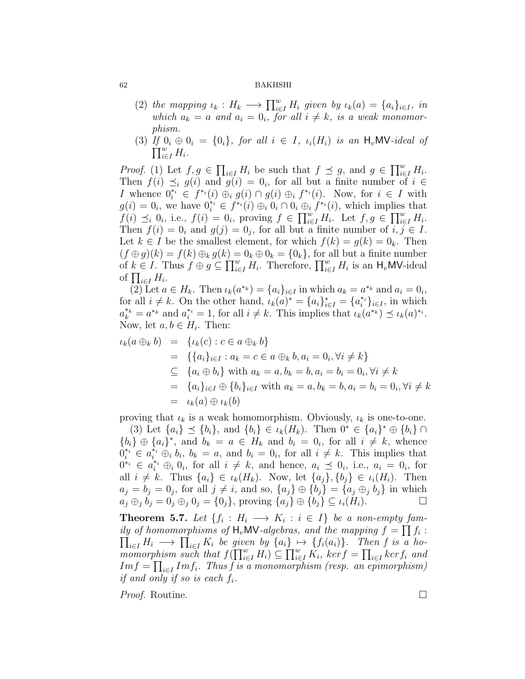- (2) the mapping  $\iota_k : H_k \longrightarrow \prod_{i \in I}^w H_i$  given by  $\iota_k(a) = \{a_i\}_{i \in I}$ , in *which*  $a_k = a$  *and*  $a_i = 0_i$ *, for all*  $i \neq k$ *, is a weak monomorphism.*
- $(3)$  *If*  $0_i \oplus 0_i = \{0_i\}$ , for all  $i \in I$ ,  $\iota_i(H_i)$  is an  $H_vMV$ -ideal of  $\prod_{i\in I}^w H_i$ .

*Proof.* (1) Let  $f, g \in \prod_{i \in I} H_i$  be such that  $f \preceq g$ , and  $g \in \prod_{i \in I}^w H_i$ . Then  $f(i) \preceq_i g(i)$  and  $g(i) = 0_i$ , for all but a finite number of  $i \in$ *I* whence  $0_i^{*_i} \in f^{*_i}(i) \oplus_i g(i) \cap g(i) \oplus_i f^{*_i}(i)$ . Now, for  $i \in I$  with  $g(i) = 0_i$ , we have  $0_i^{*i} \in f^{*i}(i) \oplus_i 0_i \cap 0_i \oplus_i f^{*i}(i)$ , which implies that  $f(i) \preceq_i 0_i$ , i.e.,  $f(i) = 0_i$ , proving  $f \in \prod_{i \in I}^w H_i$ . Let  $f, g \in \prod_{i \in I}^w H_i$ . Then  $f(i) = 0_i$  and  $g(j) = 0_j$ , for all but a finite number of  $i, j \in I$ . Let  $k \in I$  be the smallest element, for which  $f(k) = g(k) = 0_k$ . Then  $(f \oplus g)(k) = f(k) \oplus_k g(k) = 0_k \oplus 0_k = \{0_k\}$ , for all but a finite number of  $k \in I$ . Thus  $f \oplus g \subseteq \prod_{i \in I}^w H_i$ . Therefore,  $\prod_{i \in I}^w H_i$  is an  $H_v$ MV-ideal of  $\prod_{i \in I} H_i$ .

(2) Let  $a \in H_k$ . Then  $\iota_k(a^{*k}) = \{a_i\}_{i \in I}$  in which  $a_k = a^{*k}$  and  $a_i = 0_i$ , for all  $i \neq k$ . On the other hand,  $\iota_k(a)^* = \{a_i\}_{i \in I}^* = \{a_i^*\}_{i \in I}$ , in which  $a_k^{*k} = a^{*k}$  and  $a_i^{*i} = 1$ , for all  $i \neq k$ . This implies that  $\iota_k(a^{*k}) \preceq \iota_k(a)^{*i}$ . Now, let  $a, b \in H_i$ . Then:

$$
\iota_k(a \oplus_k b) = \{ \iota_k(c) : c \in a \oplus_k b \}
$$
  
\n
$$
= \{ \{ a_i \}_{i \in I} : a_k = c \in a \oplus_k b, a_i = 0_i, \forall i \neq k \}
$$
  
\n
$$
\subseteq \{ a_i \oplus b_i \} \text{ with } a_k = a, b_k = b, a_i = b_i = 0_i, \forall i \neq k
$$
  
\n
$$
= \{ a_i \}_{i \in I} \oplus \{ b_i \}_{i \in I} \text{ with } a_k = a, b_k = b, a_i = b_i = 0_i, \forall i \neq k
$$
  
\n
$$
= \iota_k(a) \oplus \iota_k(b)
$$

proving that  $\iota_k$  is a weak homomorphism. Obviously,  $\iota_k$  is one-to-one.

(3) Let  $\{a_i\} \preceq \{b_i\}$ , and  $\{b_i\} \in \iota_k(H_k)$ . Then  $0^* \in \{a_i\}^* \oplus \{b_i\} \cap$  ${b_i} \oplus {a_i}^*$ , and  $b_k = a \in H_k$  and  $b_i = 0_i$ , for all  $i \neq k$ , whence  $0_i^{*i} \in a_i^{*i} \oplus_i b_i$ ,  $b_k = a$ , and  $b_i = 0_i$ , for all  $i \neq k$ . This implies that  $0^{*i} \in a_i^{*i} \oplus_i 0_i$ , for all  $i \neq k$ , and hence,  $a_i \preceq 0_i$ , i.e.,  $a_i = 0_i$ , for all  $i \neq k$ . Thus  $\{a_i\} \in \iota_k(H_k)$ . Now, let  $\{a_j\}, \{b_j\} \in \iota_i(H_i)$ . Then  $a_j = b_j = 0_j$ , for all  $j \neq i$ , and so,  $\{a_j\} \oplus \{b_j\} = \{a_j \oplus_j b_j\}$  in which  $a_i \oplus_i b_i = 0_i \oplus_i 0_i = \{0_i\},$  proving  $\{a_i\} \oplus \{b_i\} \subseteq \iota_i(H_i)$ .

<span id="page-13-0"></span>**Theorem 5.7.** Let  $\{f_i: H_i \longrightarrow K_i : i \in I\}$  be a non-empty fam*ily of homomorphisms of*  $H_v$ MV-algebras, and the mapping  $f = \prod f_i$ :  $\prod_{i \in I} H_i$  →  $\prod_{i \in I} K_i$  *be given by*  $\{a_i\}$  →  $\{f_i(a_i)\}$ *. Then f is a ho*momorphism such that  $f(\prod_{i\in I}^w H_i) \subseteq \prod_{i\in I}^w K_i$ , kerf  $= \prod_{i\in I} ker f_i$  and  $Im f = \prod_{i \in I} Im f_i$ . Thus f is a monomorphism (resp. an epimorphism) *if and only if so is each f<sup>i</sup> .*

*Proof.* Routine. □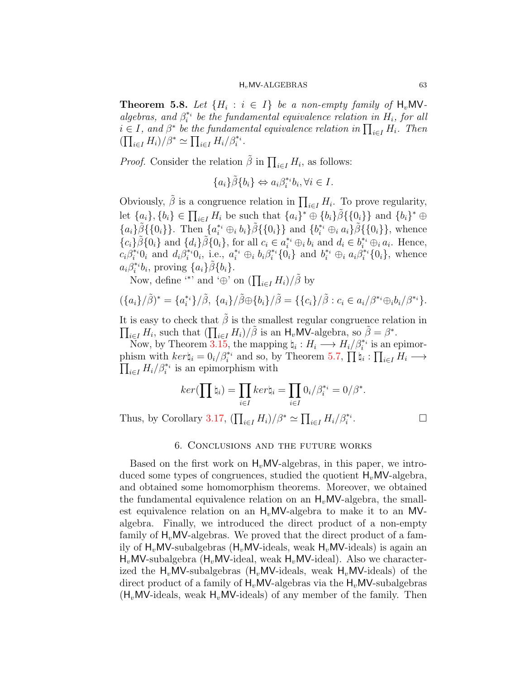**Theorem 5.8.** Let  $\{H_i : i \in I\}$  be a non-empty family of  $H_v$ MV*algebras, and*  $\beta_i^*$  *be the fundamental equivalence relation in*  $H_i$ *, for all*  $i \in I$ , and  $\beta^*$  be the fundamental equivalence relation in  $\prod_{i \in I} H_i$ . Then  $(\prod_{i \in I} H_i)/\beta^* \simeq \prod_{i \in I} H_i/\beta_i^{*i}$ .

*Proof.* Consider the relation  $\tilde{\beta}$  in  $\prod_{i \in I} H_i$ , as follows:

$$
\{a_i\}\tilde{\beta}\{b_i\} \Leftrightarrow a_i\beta_i^{*i}b_i, \forall i \in I.
$$

Obviously,  $\tilde{\beta}$  is a congruence relation in  $\prod_{i \in I} H_i$ . To prove regularity, let  $\{a_i\}, \{b_i\} \in \prod_{i \in I} H_i$  be such that  $\{a_i\}^* \oplus \{b_i\} \tilde{\beta} \{\{0_i\}\}\$  and  $\{b_i\}^* \oplus$  ${a_i} \tilde{\beta} {\{\{0_i\}\}\}\$ . Then  ${a_i^* \oplus_i b_i} \tilde{\beta} {\{\{0_i\}\}\}$  and  ${b_i^* \oplus_i a_i} \tilde{\beta} {\{\{0_i\}\}\}\$ , whence  ${c_i} \tilde{\beta} \{0_i\}$  and  ${d_i} \tilde{\beta} \{0_i\}$ , for all  $c_i \in a_i^{*_i} \oplus_i b_i$  and  $d_i \in b_i^{*_i} \oplus_i a_i$ . Hence,  $c_i\beta_i^{*_i}0_i$  and  $d_i\beta_i^{*_i}0_i$ , i.e.,  $a_i^{*_i} \oplus_i b_i\beta_i^{*_i} \{0_i\}$  and  $b_i^{*_i} \oplus_i a_i\beta_i^{*_i} \{0_i\}$ , whence  $a_i \beta_i^* b_i$ , proving  $\{a_i\} \tilde{\beta} \{b_i\}$ .

Now, define '<sup>\*</sup>' and ' $\oplus$ ' on  $(\prod_{i \in I} H_i)/\tilde{\beta}$  by

$$
(\{a_i\}/\tilde{\beta})^* = \{a_i^{*i}\}/\tilde{\beta}, \{a_i\}/\tilde{\beta} \oplus \{b_i\}/\tilde{\beta} = \{\{c_i\}/\tilde{\beta} : c_i \in a_i/\beta^{*i} \oplus_i b_i/\beta^{*i}\}.
$$

It is easy to check that  $\tilde{\beta}$  is the smallest regular congruence relation in  $\prod_{i\in I} H_i$ , such that  $(\prod_{i\in I} H_i)/\tilde{\beta}$  is an  $H_v$ MV-algebra, so  $\tilde{\beta} = \beta^*$ .

Now, by Theorem [3.15,](#page-7-1) the mapping  $\natural_i: H_i \longrightarrow H_i/\beta_i^{*i}$  is an epimorphism with  $ker \natural_i = 0_i / \beta_i^{*i}$  and so, by Theorem [5.7](#page-13-0),  $\prod_i \natural_i : \prod_{i \in I} H_i \longrightarrow$  $\prod_{i \in I} H_i / \beta_i^{*i}$  is an epimorphism with

$$
ker(\prod \mathfrak{h}_i) = \prod_{i \in I} ker\mathfrak{h}_i = \prod_{i \in I} 0_i/\beta_i^{*i} = 0/\beta^*.
$$

Thus, by Corollary [3.17](#page-8-0),  $(\prod_{i \in I} H_i)/\beta^* \simeq \prod_{i \in I} H_i/\beta_i^{*}$ 

. — Первый проста проста проста проста проста проста проста проста проста проста проста проста проста проста п<br>Село в село в село в село в село в село в село в село в село в село в село в село в село в село в село в село

#### 6. Conclusions and the future works

Based on the first work on  $H_vMV$ -algebras, in this paper, we introduced some types of congruences, studied the quotient H*v*MV-algebra, and obtained some homomorphism theorems. Moreover, we obtained the fundamental equivalence relation on an  $H_\nu$ MV-algebra, the smallest equivalence relation on an  $H<sub>v</sub>MV-algebra$  to make it to an MValgebra. Finally, we introduced the direct product of a non-empty family of H<sub>v</sub>MV-algebras. We proved that the direct product of a family of H*v*MV-subalgebras (H*v*MV-ideals, weak H*v*MV-ideals) is again an H*v*MV-subalgebra (H*v*MV-ideal, weak H*v*MV-ideal). Also we characterized the  $H_vMV$ -subalgebras  $(H_vMV$ -ideals, weak  $H_vMV$ -ideals) of the direct product of a family of H<sub>v</sub>MV-algebras via the H<sub>v</sub>MV-subalgebras  $(H<sub>v</sub>MV-ideals, weak H<sub>v</sub>MV-ideals)$  of any member of the family. Then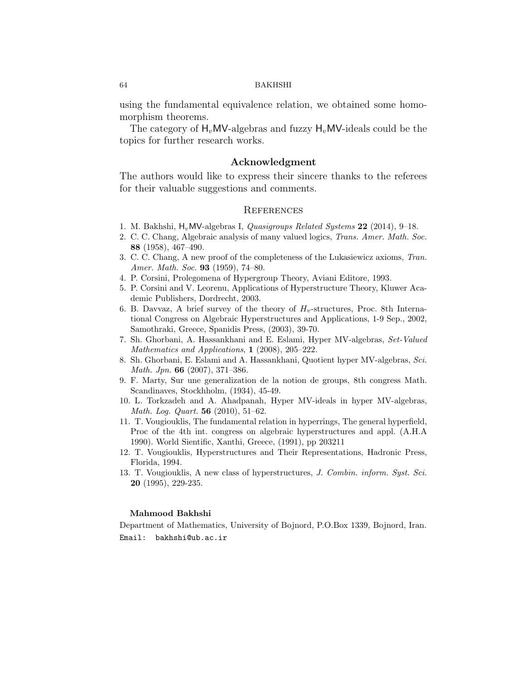using the fundamental equivalence relation, we obtained some homomorphism theorems.

The category of H<sub>v</sub>MV-algebras and fuzzy H<sub>v</sub>MV-ideals could be the topics for further research works.

## **Acknowledgment**

The authors would like to express their sincere thanks to the referees for their valuable suggestions and comments.

## **REFERENCES**

- <span id="page-15-12"></span>1. M. Bakhshi, H*v*MV-algebras I, *Quasigroups Related Systems* **22** (2014), 9–18.
- <span id="page-15-0"></span>2. C. C. Chang, Algebraic analysis of many valued logics, *Trans. Amer. Math. Soc.* **88** (1958), 467–490.
- <span id="page-15-1"></span>3. C. C. Chang, A new proof of the completeness of the Lukasiewicz axioms, *Tran. Amer. Math. Soc.* **93** (1959), 74–80.
- <span id="page-15-6"></span>4. P. Corsini, Prolegomena of Hypergroup Theory, Aviani Editore, 1993.
- <span id="page-15-7"></span>5. P. Corsini and V. Leorenu, Applications of Hyperstructure Theory, Kluwer Academic Publishers, Dordrecht, 2003.
- <span id="page-15-11"></span>6. B. Davvaz, A brief survey of the theory of  $H_v$ -structures, Proc. 8th International Congress on Algebraic Hyperstructures and Applications, 1-9 Sep., 2002, Samothraki, Greece, Spanidis Press, (2003), 39-70.
- <span id="page-15-3"></span>7. Sh. Ghorbani, A. Hassankhani and E. Eslami, Hyper MV-algebras, *Set-Valued Mathematics and Applications*, **1** (2008), 205–222.
- <span id="page-15-4"></span>8. Sh. Ghorbani, E. Eslami and A. Hassankhani, Quotient hyper MV-algebras, *Sci. Math. Jpn.* **66** (2007), 371–386.
- <span id="page-15-2"></span>9. F. Marty, Sur une generalization de la notion de groups, 8th congress Math. Scandinaves, Stockhholm, (1934), 45-49.
- <span id="page-15-5"></span>10. L. Torkzadeh and A. Ahadpanah, Hyper MV-ideals in hyper MV-algebras, *Math. Log. Quart.* **56** (2010), 51–62.
- <span id="page-15-8"></span>11. T. Vougiouklis, The fundamental relation in hyperrings, The general hyperfield, Proc of the 4th int. congress on algebraic hyperstructures and appl. (A.H.A 1990). World Sientific, Xanthi, Greece, (1991), pp 203211
- <span id="page-15-9"></span>12. T. Vougiouklis, Hyperstructures and Their Representations, Hadronic Press, Florida, 1994.
- <span id="page-15-10"></span>13. T. Vougiouklis, A new class of hyperstructures, *J. Combin. inform. Syst. Sci.* **20** (1995), 229-235.

## **Mahmood Bakhshi**

Department of Mathematics, University of Bojnord, P.O.Box 1339, Bojnord, Iran. Email: bakhshi@ub.ac.ir